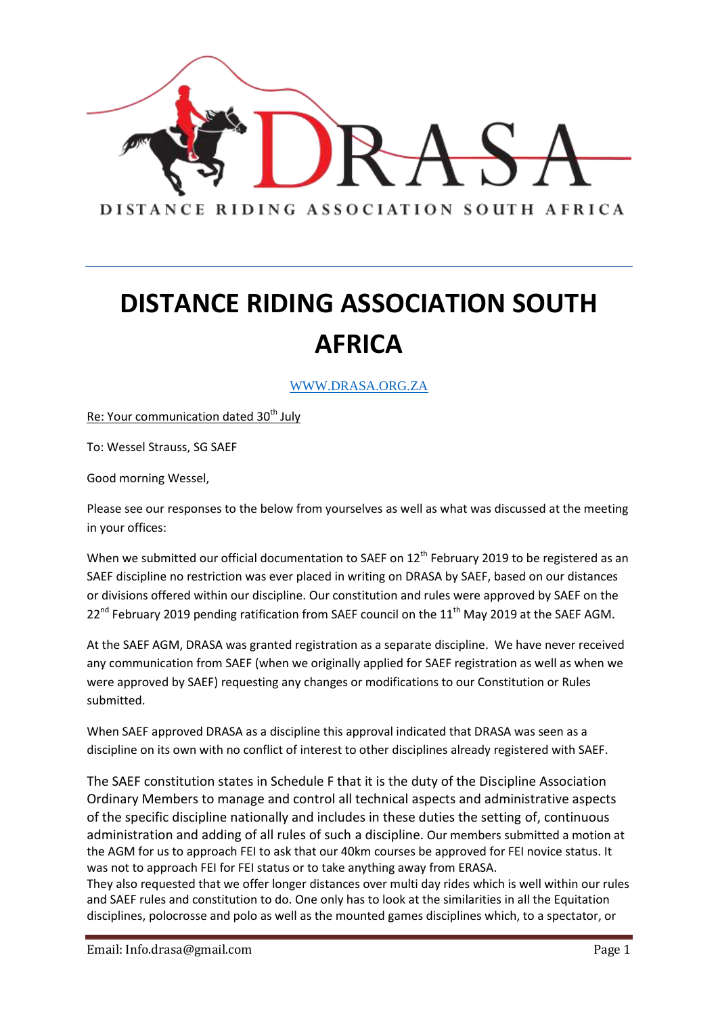

WWW.DRASA.ORG.ZA

Re: Your communication dated  $30<sup>th</sup>$  July

To: Wessel Strauss, SG SAEF

Good morning Wessel,

Please see our responses to the below from yourselves as well as what was discussed at the meeting in your offices:

When we submitted our official documentation to SAEF on 12<sup>th</sup> February 2019 to be registered as an SAEF discipline no restriction was ever placed in writing on DRASA by SAEF, based on our distances or divisions offered within our discipline. Our constitution and rules were approved by SAEF on the  $22^{nd}$  February 2019 pending ratification from SAEF council on the  $11^{th}$  May 2019 at the SAEF AGM.

At the SAEF AGM, DRASA was granted registration as a separate discipline. We have never received any communication from SAEF (when we originally applied for SAEF registration as well as when we were approved by SAEF) requesting any changes or modifications to our Constitution or Rules submitted.

When SAEF approved DRASA as a discipline this approval indicated that DRASA was seen as a discipline on its own with no conflict of interest to other disciplines already registered with SAEF.

The SAEF constitution states in Schedule F that it is the duty of the Discipline Association Ordinary Members to manage and control all technical aspects and administrative aspects of the specific discipline nationally and includes in these duties the setting of, continuous administration and adding of all rules of such a discipline. Our members submitted a motion at the AGM for us to approach FEI to ask that our 40km courses be approved for FEI novice status. It was not to approach FEI for FEI status or to take anything away from ERASA.

They also requested that we offer longer distances over multi day rides which is well within our rules and SAEF rules and constitution to do. One only has to look at the similarities in all the Equitation disciplines, polocrosse and polo as well as the mounted games disciplines which, to a spectator, or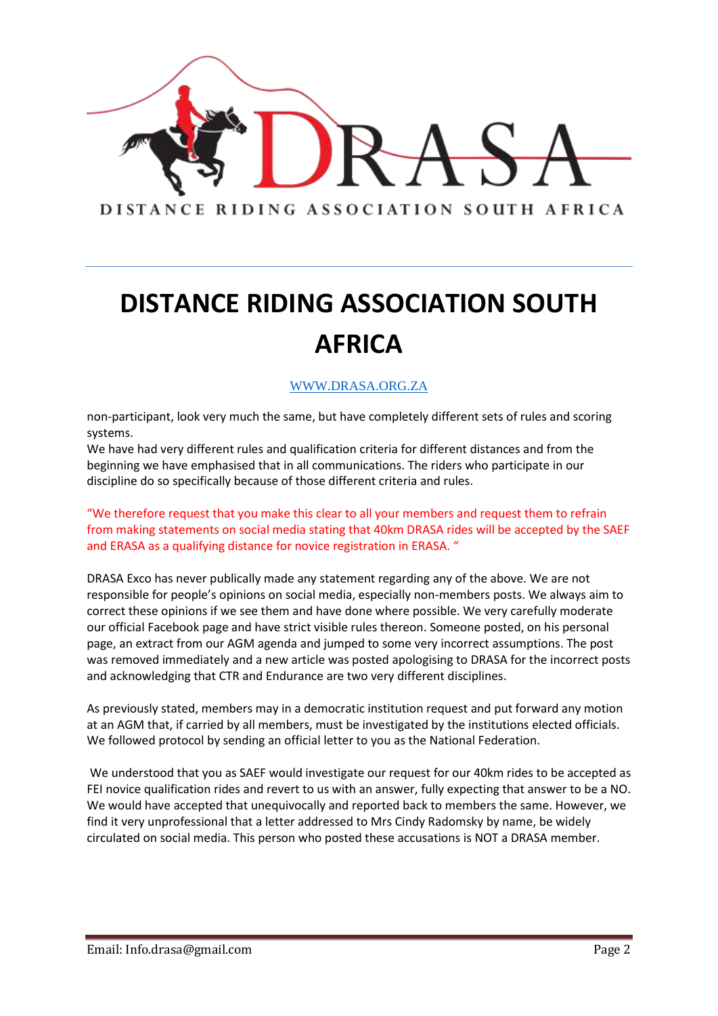

#### WWW.DRASA.ORG.ZA

non-participant, look very much the same, but have completely different sets of rules and scoring systems.

We have had very different rules and qualification criteria for different distances and from the beginning we have emphasised that in all communications. The riders who participate in our discipline do so specifically because of those different criteria and rules.

"We therefore request that you make this clear to all your members and request them to refrain from making statements on social media stating that 40km DRASA rides will be accepted by the SAEF and ERASA as a qualifying distance for novice registration in ERASA. "

DRASA Exco has never publically made any statement regarding any of the above. We are not responsible for people's opinions on social media, especially non-members posts. We always aim to correct these opinions if we see them and have done where possible. We very carefully moderate our official Facebook page and have strict visible rules thereon. Someone posted, on his personal page, an extract from our AGM agenda and jumped to some very incorrect assumptions. The post was removed immediately and a new article was posted apologising to DRASA for the incorrect posts and acknowledging that CTR and Endurance are two very different disciplines.

As previously stated, members may in a democratic institution request and put forward any motion at an AGM that, if carried by all members, must be investigated by the institutions elected officials. We followed protocol by sending an official letter to you as the National Federation.

We understood that you as SAEF would investigate our request for our 40km rides to be accepted as FEI novice qualification rides and revert to us with an answer, fully expecting that answer to be a NO. We would have accepted that unequivocally and reported back to members the same. However, we find it very unprofessional that a letter addressed to Mrs Cindy Radomsky by name, be widely circulated on social media. This person who posted these accusations is NOT a DRASA member.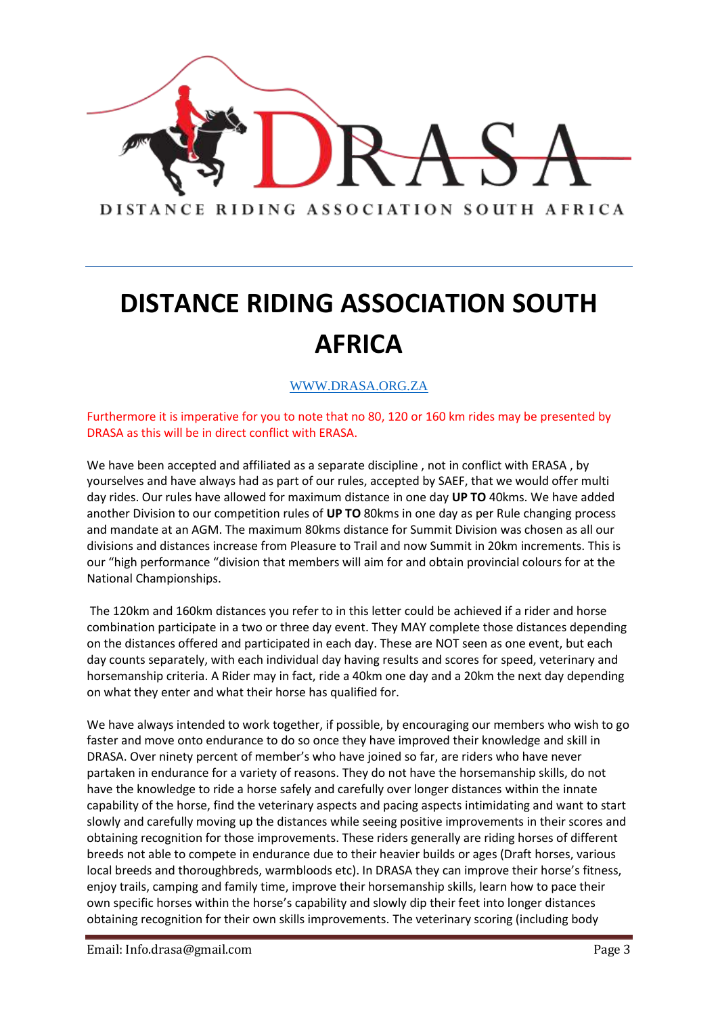

#### WWW.DRASA.ORG.ZA

Furthermore it is imperative for you to note that no 80, 120 or 160 km rides may be presented by DRASA as this will be in direct conflict with ERASA.

We have been accepted and affiliated as a separate discipline, not in conflict with ERASA, by yourselves and have always had as part of our rules, accepted by SAEF, that we would offer multi day rides. Our rules have allowed for maximum distance in one day **UP TO** 40kms. We have added another Division to our competition rules of **UP TO** 80kms in one day as per Rule changing process and mandate at an AGM. The maximum 80kms distance for Summit Division was chosen as all our divisions and distances increase from Pleasure to Trail and now Summit in 20km increments. This is our "high performance "division that members will aim for and obtain provincial colours for at the National Championships.

The 120km and 160km distances you refer to in this letter could be achieved if a rider and horse combination participate in a two or three day event. They MAY complete those distances depending on the distances offered and participated in each day. These are NOT seen as one event, but each day counts separately, with each individual day having results and scores for speed, veterinary and horsemanship criteria. A Rider may in fact, ride a 40km one day and a 20km the next day depending on what they enter and what their horse has qualified for.

We have always intended to work together, if possible, by encouraging our members who wish to go faster and move onto endurance to do so once they have improved their knowledge and skill in DRASA. Over ninety percent of member's who have joined so far, are riders who have never partaken in endurance for a variety of reasons. They do not have the horsemanship skills, do not have the knowledge to ride a horse safely and carefully over longer distances within the innate capability of the horse, find the veterinary aspects and pacing aspects intimidating and want to start slowly and carefully moving up the distances while seeing positive improvements in their scores and obtaining recognition for those improvements. These riders generally are riding horses of different breeds not able to compete in endurance due to their heavier builds or ages (Draft horses, various local breeds and thoroughbreds, warmbloods etc). In DRASA they can improve their horse's fitness, enjoy trails, camping and family time, improve their horsemanship skills, learn how to pace their own specific horses within the horse's capability and slowly dip their feet into longer distances obtaining recognition for their own skills improvements. The veterinary scoring (including body